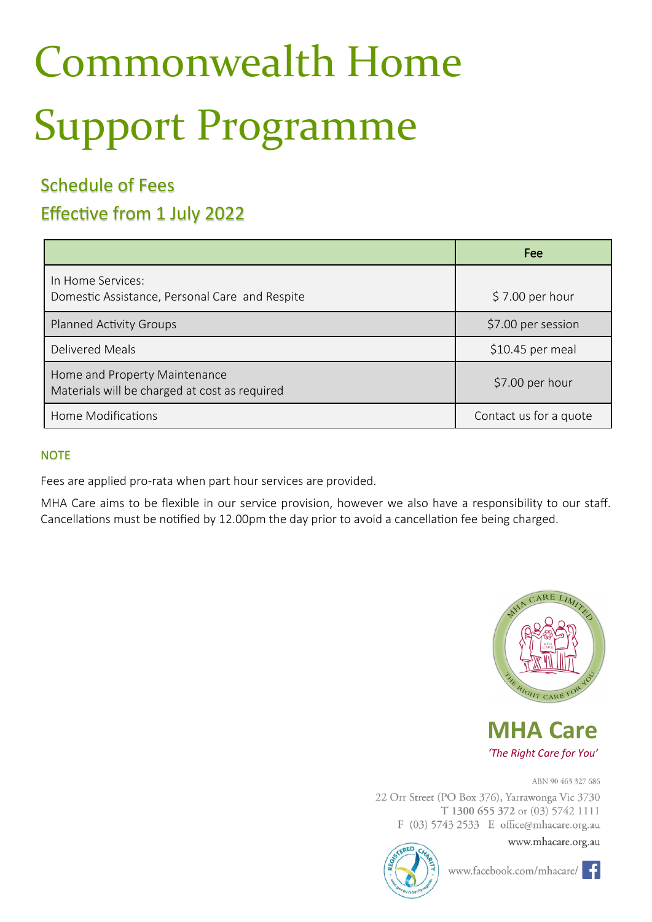# Commonwealth Home Support Programme

## Schedule of Fees

## Effective from 1 July 2022

|                                                                                | Fee                    |
|--------------------------------------------------------------------------------|------------------------|
| In Home Services:<br>Domestic Assistance, Personal Care and Respite            | $$7.00$ per hour       |
| <b>Planned Activity Groups</b>                                                 | \$7.00 per session     |
| Delivered Meals                                                                | $$10.45$ per meal      |
| Home and Property Maintenance<br>Materials will be charged at cost as required | \$7.00 per hour        |
| Home Modifications                                                             | Contact us for a quote |

#### **NOTE**

Fees are applied pro-rata when part hour services are provided.

MHA Care aims to be flexible in our service provision, however we also have a responsibility to our staff. Cancellations must be notified by 12.00pm the day prior to avoid a cancellation fee being charged.



**MHA Care** *'The Right Care for You'*

ABN 90 463 327 686

22 Orr Street (PO Box 376), Yarrawonga Vic 3730 T 1300 655 372 or (03) 5742 1111 F (03) 5743 2533 E office@mhacare.org.au

#### www.mhacare.org.au



www.facebook.com/mhacare/